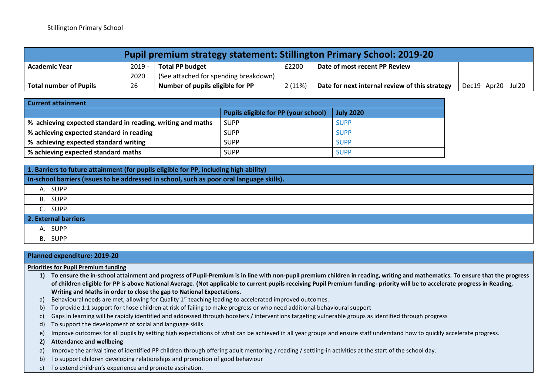| <b>Pupil premium strategy statement: Stillington Primary School: 2019-20</b> |        |                                       |        |                                                |                   |  |
|------------------------------------------------------------------------------|--------|---------------------------------------|--------|------------------------------------------------|-------------------|--|
| <b>Academic Year</b>                                                         | 2019 - | Total PP budget                       | £2200  | Date of most recent PP Review                  |                   |  |
|                                                                              | 2020   | (See attached for spending breakdown) |        |                                                |                   |  |
| <b>Total number of Pupils</b>                                                | 26     | Number of pupils eligible for PP      | 2(11%) | Date for next internal review of this strategy | Dec19 Apr20 Jul20 |  |

| <b>Current attainment</b>                                   |                                             |                  |  |  |  |
|-------------------------------------------------------------|---------------------------------------------|------------------|--|--|--|
|                                                             | <b>Pupils eligible for PP (your school)</b> | <b>July 2020</b> |  |  |  |
| % achieving expected standard in reading, writing and maths | <b>SUPP</b>                                 | <b>SUPP</b>      |  |  |  |
| % achieving expected standard in reading                    | <b>SUPP</b>                                 | <b>SUPP</b>      |  |  |  |
| % achieving expected standard writing                       | <b>SUPP</b>                                 | <b>SUPP</b>      |  |  |  |
| % achieving expected standard maths                         | <b>SUPP</b>                                 | <b>SUPP</b>      |  |  |  |

| 1. Barriers to future attainment (for pupils eligible for PP, including high ability)     |         |  |  |  |
|-------------------------------------------------------------------------------------------|---------|--|--|--|
| In-school barriers (issues to be addressed in school, such as poor oral language skills). |         |  |  |  |
|                                                                                           | A. SUPP |  |  |  |
|                                                                                           | B. SUPP |  |  |  |
|                                                                                           | C. SUPP |  |  |  |
| 2. External barriers                                                                      |         |  |  |  |
|                                                                                           | A. SUPP |  |  |  |
|                                                                                           | B. SUPP |  |  |  |

| Planned expenditure: 2019-20                                                                                                                                                  |  |  |  |  |  |
|-------------------------------------------------------------------------------------------------------------------------------------------------------------------------------|--|--|--|--|--|
| <b>Priorities for Pupil Premium funding</b>                                                                                                                                   |  |  |  |  |  |
| To ensure the in-school attainment and progress of Pupil-Premium is in line with non-pupil premium children in reading, writing and mathematics. To ensure that the progress  |  |  |  |  |  |
| of children eligible for PP is above National Average. (Not applicable to current pupils receiving Pupil Premium funding- priority will be to accelerate progress in Reading, |  |  |  |  |  |
| Writing and Maths in order to close the gap to National Expectations.                                                                                                         |  |  |  |  |  |
| Behavioural needs are met, allowing for Quality $1st$ teaching leading to accelerated improved outcomes.                                                                      |  |  |  |  |  |
| To provide 1:1 support for those children at risk of failing to make progress or who need additional behavioural support                                                      |  |  |  |  |  |
| Gaps in learning will be rapidly identified and addressed through boosters / interventions targeting vulnerable groups as identified through progress                         |  |  |  |  |  |
| To support the development of social and language skills                                                                                                                      |  |  |  |  |  |
| Improve outcomes for all pupils by setting high expectations of what can be achieved in all year groups and ensure staff understand how to quickly accelerate progress.       |  |  |  |  |  |
| <b>Attendance and wellbeing</b>                                                                                                                                               |  |  |  |  |  |
| Improve the arrival time of identified PP children through offering adult mentoring / reading / settling-in activities at the start of the school day.                        |  |  |  |  |  |
| To support children developing relationships and promotion of good behaviour                                                                                                  |  |  |  |  |  |
| To extend children's experience and promote aspiration.                                                                                                                       |  |  |  |  |  |
|                                                                                                                                                                               |  |  |  |  |  |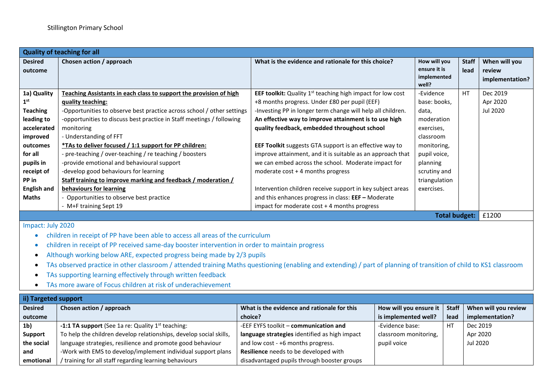| <b>Quality of teaching for all</b> |                                                                        |                                                                     |                                                      |                      |                                            |  |
|------------------------------------|------------------------------------------------------------------------|---------------------------------------------------------------------|------------------------------------------------------|----------------------|--------------------------------------------|--|
| <b>Desired</b><br>outcome          | Chosen action / approach                                               | What is the evidence and rationale for this choice?                 | How will you<br>ensure it is<br>implemented<br>well? | <b>Staff</b><br>lead | When will you<br>review<br>implementation? |  |
| 1a) Quality                        | Teaching Assistants in each class to support the provision of high     | <b>EEF toolkit:</b> Quality $1st$ teaching high impact for low cost | -Evidence                                            | <b>HT</b>            | Dec 2019                                   |  |
| 1 <sup>st</sup>                    | quality teaching:                                                      | +8 months progress. Under £80 per pupil (EEF)                       | base: books,                                         |                      | Apr 2020                                   |  |
| <b>Teaching</b>                    | -Opportunities to observe best practice across school / other settings | -Investing PP in longer term change will help all children.         | data,                                                |                      | Jul 2020                                   |  |
| leading to                         | -opportunities to discuss best practice in Staff meetings / following  | An effective way to improve attainment is to use high               | moderation                                           |                      |                                            |  |
| accelerated                        | monitoring                                                             | quality feedback, embedded throughout school                        | exercises,                                           |                      |                                            |  |
| improved                           | - Understanding of FFT                                                 |                                                                     | classroom                                            |                      |                                            |  |
| outcomes                           | *TAs to deliver focused / 1:1 support for PP children:                 | EEF Toolkit suggests GTA support is an effective way to             | monitoring,                                          |                      |                                            |  |
| for all                            | - pre-teaching / over-teaching / re teaching / boosters                | improve attainment, and it is suitable as an approach that          | pupil voice,                                         |                      |                                            |  |
| pupils in                          | -provide emotional and behavioural support                             | we can embed across the school. Moderate impact for                 | planning                                             |                      |                                            |  |
| receipt of                         | -develop good behaviours for learning                                  | moderate $cost + 4$ months progress                                 | scrutiny and                                         |                      |                                            |  |
| PP in                              | Staff training to improve marking and feedback / moderation /          |                                                                     | triangulation                                        |                      |                                            |  |
| <b>English and</b>                 | behaviours for learning                                                | Intervention children receive support in key subject areas          | exercises.                                           |                      |                                            |  |
| <b>Maths</b>                       | Opportunities to observe best practice                                 | and this enhances progress in class: $EEF -$ Moderate               |                                                      |                      |                                            |  |
|                                    | - M+F training Sept 19                                                 | impact for moderate cost + 4 months progress                        |                                                      |                      |                                            |  |
| Total budget:                      |                                                                        |                                                                     |                                                      |                      | £1200                                      |  |
| Impact: July 2020                  |                                                                        |                                                                     |                                                      |                      |                                            |  |

- children in receipt of PP have been able to access all areas of the curriculum
- children in receipt of PP received same-day booster intervention in order to maintain progress
- Although working below ARE, expected progress being made by 2/3 pupils
- TAs observed practice in other classroom / attended training Maths questioning (enabling and extending) / part of planning of transition of child to KS1 classroom
- TAs supporting learning effectively through written feedback
- TAs more aware of Focus children at risk of underachievement

| ii) Targeted support |                                                                    |                                               |                        |              |                      |  |
|----------------------|--------------------------------------------------------------------|-----------------------------------------------|------------------------|--------------|----------------------|--|
| <b>Desired</b>       | Chosen action / approach                                           | What is the evidence and rationale for this   | How will you ensure it | <b>Staff</b> | When will you review |  |
| outcome              |                                                                    | choice?                                       | is implemented well?   | lead         | implementation?      |  |
| 1 <sub>b</sub>       | <b>-1:1 TA support</b> (See 1a re: Quality $1^{st}$ teaching:      | -EEF EYFS toolkit - communication and         | -Evidence base:        | H7           | Dec 2019             |  |
| <b>Support</b>       | To help the children develop relationships, develop social skills, | language strategies identified as high impact | classroom monitoring,  |              | Apr 2020             |  |
| the social           | language strategies, resilience and promote good behaviour         | and low cost - +6 months progress.            | pupil voice            |              | Jul 2020             |  |
| and                  | -Work with EMS to develop/implement individual support plans       | Resilience needs to be developed with         |                        |              |                      |  |
| emotional            | training for all staff regarding learning behaviours               | disadvantaged pupils through booster groups   |                        |              |                      |  |